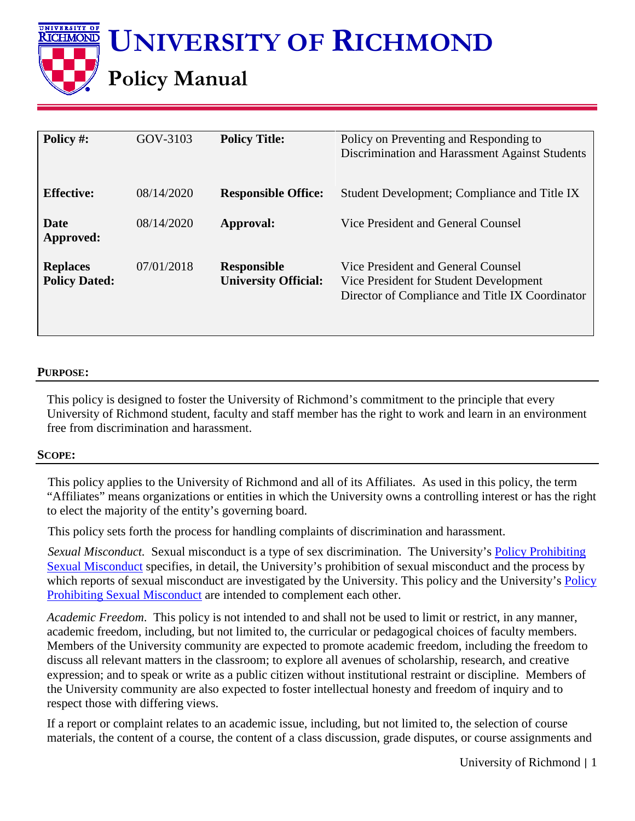**UNIVERSITY OF RICHMOND**

# **Policy Manual**

| Policy #:                               | GOV-3103   | <b>Policy Title:</b>                              | Policy on Preventing and Responding to<br>Discrimination and Harassment Against Students                                        |
|-----------------------------------------|------------|---------------------------------------------------|---------------------------------------------------------------------------------------------------------------------------------|
| <b>Effective:</b>                       | 08/14/2020 | <b>Responsible Office:</b>                        | Student Development; Compliance and Title IX                                                                                    |
| Date<br>Approved:                       | 08/14/2020 | Approval:                                         | Vice President and General Counsel                                                                                              |
| <b>Replaces</b><br><b>Policy Dated:</b> | 07/01/2018 | <b>Responsible</b><br><b>University Official:</b> | Vice President and General Counsel<br>Vice President for Student Development<br>Director of Compliance and Title IX Coordinator |

#### **PURPOSE:**

UNIVERSITY OF KICHMOND

> This policy is designed to foster the University of Richmond's commitment to the principle that every University of Richmond student, faculty and staff member has the right to work and learn in an environment free from discrimination and harassment.

#### **SCOPE:**

This policy applies to the University of Richmond and all of its Affiliates. As used in this policy, the term "Affiliates" means organizations or entities in which the University owns a controlling interest or has the right to elect the majority of the entity's governing board.

This policy sets forth the process for handling complaints of discrimination and harassment.

*Sexual Misconduct.* Sexual misconduct is a type of sex discrimination. The University's [Policy Prohibiting](https://prevent.richmond.edu/_common/sexual-misconduct-policy.pdf)  [Sexual Misconduct](https://prevent.richmond.edu/_common/sexual-misconduct-policy.pdf) specifies, in detail, the University's prohibition of sexual misconduct and the process by which reports of sexual misconduct are investigated by the University. This policy and the University's **Policy** [Prohibiting Sexual Misconduct](https://prevent.richmond.edu/_common/sexual-misconduct-policy.pdf) are intended to complement each other.

*Academic Freedom*. This policy is not intended to and shall not be used to limit or restrict, in any manner, academic freedom, including, but not limited to, the curricular or pedagogical choices of faculty members. Members of the University community are expected to promote academic freedom, including the freedom to discuss all relevant matters in the classroom; to explore all avenues of scholarship, research, and creative expression; and to speak or write as a public citizen without institutional restraint or discipline. Members of the University community are also expected to foster intellectual honesty and freedom of inquiry and to respect those with differing views.

If a report or complaint relates to an academic issue, including, but not limited to, the selection of course materials, the content of a course, the content of a class discussion, grade disputes, or course assignments and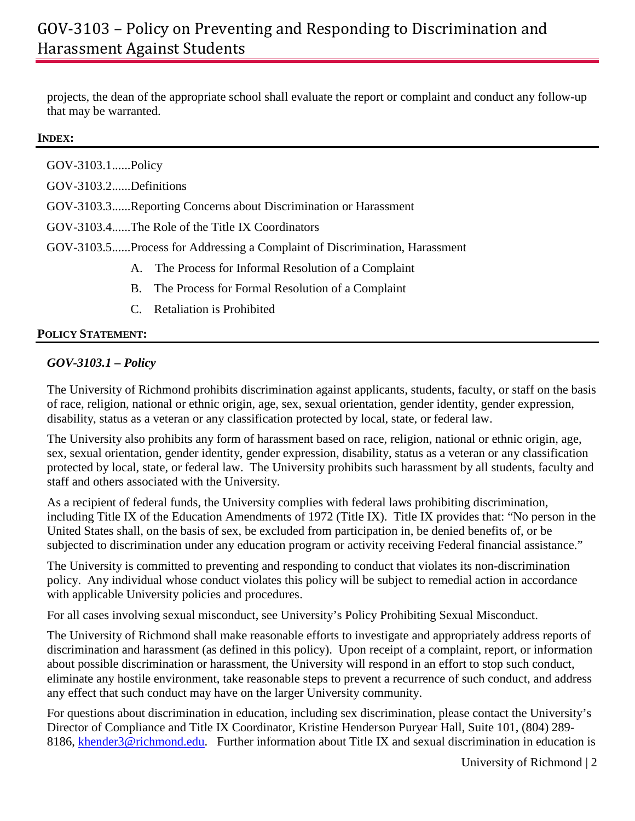# GOV-3103 – Policy on Preventing and Responding to Discrimination and Harassment Against Students

projects, the dean of the appropriate school shall evaluate the report or complaint and conduct any follow-up that may be warranted.

#### **INDEX:**

| GOV-3103.1Policy                                                           |                                                       |  |  |  |
|----------------------------------------------------------------------------|-------------------------------------------------------|--|--|--|
| GOV-3103.2Definitions                                                      |                                                       |  |  |  |
| GOV-3103.3Reporting Concerns about Discrimination or Harassment            |                                                       |  |  |  |
| GOV-3103.4The Role of the Title IX Coordinators                            |                                                       |  |  |  |
| GOV-3103.5Process for Addressing a Complaint of Discrimination, Harassment |                                                       |  |  |  |
|                                                                            | A. The Process for Informal Resolution of a Complaint |  |  |  |
|                                                                            | B. The Process for Formal Resolution of a Complaint   |  |  |  |
|                                                                            | C. Retaliation is Prohibited                          |  |  |  |

#### **POLICY STATEMENT:**

# *GOV-3103.1 – Policy*

The University of Richmond prohibits discrimination against applicants, students, faculty, or staff on the basis of race, religion, national or ethnic origin, age, sex, sexual orientation, gender identity, gender expression, disability, status as a veteran or any classification protected by local, state, or federal law.

The University also prohibits any form of harassment based on race, religion, national or ethnic origin, age, sex, sexual orientation, gender identity, gender expression, disability, status as a veteran or any classification protected by local, state, or federal law. The University prohibits such harassment by all students, faculty and staff and others associated with the University.

As a recipient of federal funds, the University complies with federal laws prohibiting discrimination, including Title IX of the Education Amendments of 1972 (Title IX). Title IX provides that: "No person in the United States shall, on the basis of sex, be excluded from participation in, be denied benefits of, or be subjected to discrimination under any education program or activity receiving Federal financial assistance."

The University is committed to preventing and responding to conduct that violates its non-discrimination policy. Any individual whose conduct violates this policy will be subject to remedial action in accordance with applicable University policies and procedures.

For all cases involving sexual misconduct, see University's Policy Prohibiting Sexual Misconduct.

The University of Richmond shall make reasonable efforts to investigate and appropriately address reports of discrimination and harassment (as defined in this policy). Upon receipt of a complaint, report, or information about possible discrimination or harassment, the University will respond in an effort to stop such conduct, eliminate any hostile environment, take reasonable steps to prevent a recurrence of such conduct, and address any effect that such conduct may have on the larger University community.

For questions about discrimination in education, including sex discrimination, please contact the University's Director of Compliance and Title IX Coordinator, Kristine Henderson Puryear Hall, Suite 101, (804) 289 8186, [khender3@richmond.edu.](mailto:khender3@richmond.edu) Further information about Title IX and sexual discrimination in education is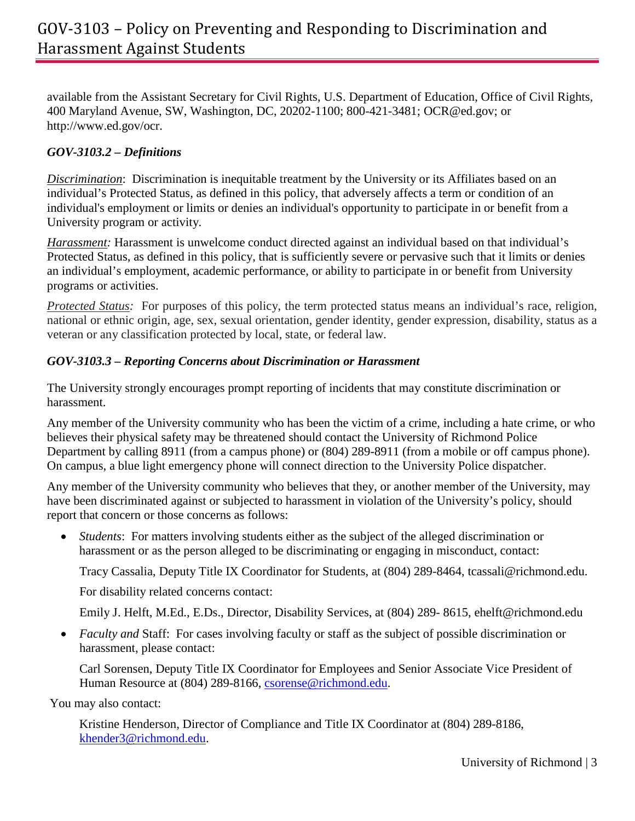available from the Assistant Secretary for Civil Rights, U.S. Department of Education, Office of Civil Rights, 400 Maryland Avenue, SW, Washington, DC, 20202-1100; 800-421-3481; OCR@ed.gov; or http://www.ed.gov/ocr.

# *GOV-3103.2 – Definitions*

*Discrimination*: Discrimination is inequitable treatment by the University or its Affiliates based on an individual's Protected Status, as defined in this policy, that adversely affects a term or condition of an individual's employment or limits or denies an individual's opportunity to participate in or benefit from a University program or activity.

*Harassment:* Harassment is unwelcome conduct directed against an individual based on that individual's Protected Status, as defined in this policy, that is sufficiently severe or pervasive such that it limits or denies an individual's employment, academic performance, or ability to participate in or benefit from University programs or activities.

*Protected Status:* For purposes of this policy, the term protected status means an individual's race, religion, national or ethnic origin, age, sex, sexual orientation, gender identity, gender expression, disability, status as a veteran or any classification protected by local, state, or federal law.

# *GOV-3103.3 – Reporting Concerns about Discrimination or Harassment*

The University strongly encourages prompt reporting of incidents that may constitute discrimination or harassment.

Any member of the University community who has been the victim of a crime, including a hate crime, or who believes their physical safety may be threatened should contact the University of Richmond Police Department by calling 8911 (from a campus phone) or (804) 289-8911 (from a mobile or off campus phone). On campus, a blue light emergency phone will connect direction to the University Police dispatcher.

Any member of the University community who believes that they, or another member of the University, may have been discriminated against or subjected to harassment in violation of the University's policy, should report that concern or those concerns as follows:

• *Students*: For matters involving students either as the subject of the alleged discrimination or harassment or as the person alleged to be discriminating or engaging in misconduct, contact:

Tracy Cassalia, Deputy Title IX Coordinator for Students, at (804) 289-8464, tcassali@richmond.edu.

For disability related concerns contact:

Emily J. Helft, M.Ed., E.Ds., Director, Disability Services, at (804) 289- 8615, ehelft@richmond.edu

• *Faculty and Staff:* For cases involving faculty or staff as the subject of possible discrimination or harassment, please contact:

Carl Sorensen, Deputy Title IX Coordinator for Employees and Senior Associate Vice President of Human Resource at (804) 289-8166, [csorense@richmond.edu.](mailto:csorense@richmond.edu)

You may also contact:

Kristine Henderson, Director of Compliance and Title IX Coordinator at (804) 289-8186, [khender3@richmond.edu.](mailto:khender3@richmond.edu)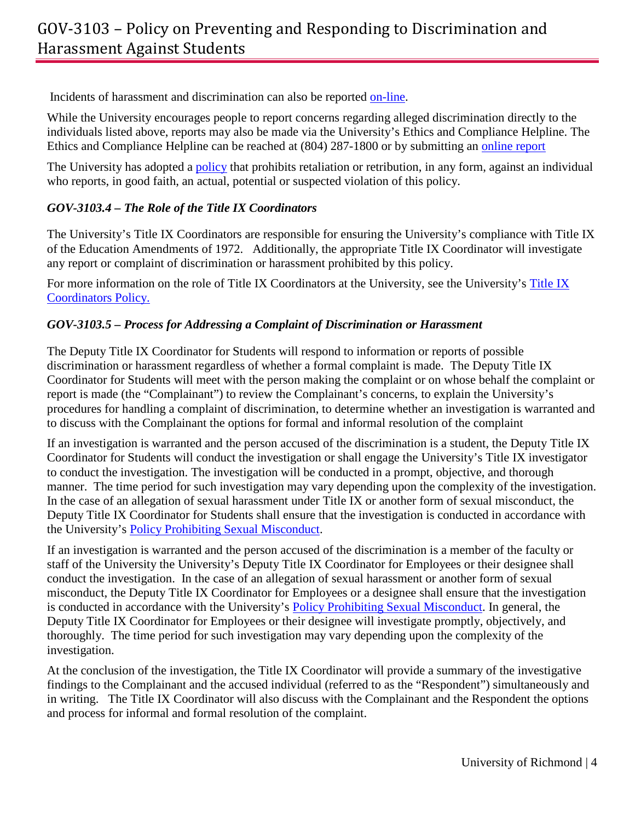Incidents of harassment and discrimination can also be reported [on-line.](https://cm.maxient.com/reportingform.php?UnivofRichmond&layout_id=41)

While the University encourages people to report concerns regarding alleged discrimination directly to the individuals listed above, reports may also be made via the University's Ethics and Compliance Helpline. The Ethics and Compliance Helpline can be reached at (804) 287-1800 or by submitting an [online report](https://cm.maxient.com/reportingform.php?UnivofRichmond&layout_id=27)

The University has adopted a [policy](https://www.richmond.edu/compliance/non-retaliation.html) that prohibits retaliation or retribution, in any form, against an individual who reports, in good faith, an actual, potential or suspected violation of this policy.

# *GOV-3103.4 – The Role of the Title IX Coordinators*

The University's Title IX Coordinators are responsible for ensuring the University's compliance with Title IX of the Education Amendments of 1972. Additionally, the appropriate Title IX Coordinator will investigate any report or complaint of discrimination or harassment prohibited by this policy.

For more information on the role of [Title IX](https://www.richmond.edu/compliance/title-IX-coordinator.html) Coordinators at the University, see the University's Title IX [Coordinators Policy.](https://www.richmond.edu/compliance/title-IX-coordinator.html)

# *GOV-3103.5 – Process for Addressing a Complaint of Discrimination or Harassment*

The Deputy Title IX Coordinator for Students will respond to information or reports of possible discrimination or harassment regardless of whether a formal complaint is made. The Deputy Title IX Coordinator for Students will meet with the person making the complaint or on whose behalf the complaint or report is made (the "Complainant") to review the Complainant's concerns, to explain the University's procedures for handling a complaint of discrimination, to determine whether an investigation is warranted and to discuss with the Complainant the options for formal and informal resolution of the complaint

If an investigation is warranted and the person accused of the discrimination is a student, the Deputy Title IX Coordinator for Students will conduct the investigation or shall engage the University's Title IX investigator to conduct the investigation. The investigation will be conducted in a prompt, objective, and thorough manner. The time period for such investigation may vary depending upon the complexity of the investigation. In the case of an allegation of sexual harassment under Title IX or another form of sexual misconduct, the Deputy Title IX Coordinator for Students shall ensure that the investigation is conducted in accordance with the University's [Policy Prohibiting Sexual Misconduct.](https://prevent.richmond.edu/_common/sexual-misconduct-policy.pdf)

If an investigation is warranted and the person accused of the discrimination is a member of the faculty or staff of the University the University's Deputy Title IX Coordinator for Employees or their designee shall conduct the investigation. In the case of an allegation of sexual harassment or another form of sexual misconduct, the Deputy Title IX Coordinator for Employees or a designee shall ensure that the investigation is conducted in accordance with the University's [Policy Prohibiting Sexual Misconduct.](https://prevent.richmond.edu/_common/sexual-misconduct-policy.pdf) In general, the Deputy Title IX Coordinator for Employees or their designee will investigate promptly, objectively, and thoroughly. The time period for such investigation may vary depending upon the complexity of the investigation.

At the conclusion of the investigation, the Title IX Coordinator will provide a summary of the investigative findings to the Complainant and the accused individual (referred to as the "Respondent") simultaneously and in writing. The Title IX Coordinator will also discuss with the Complainant and the Respondent the options and process for informal and formal resolution of the complaint.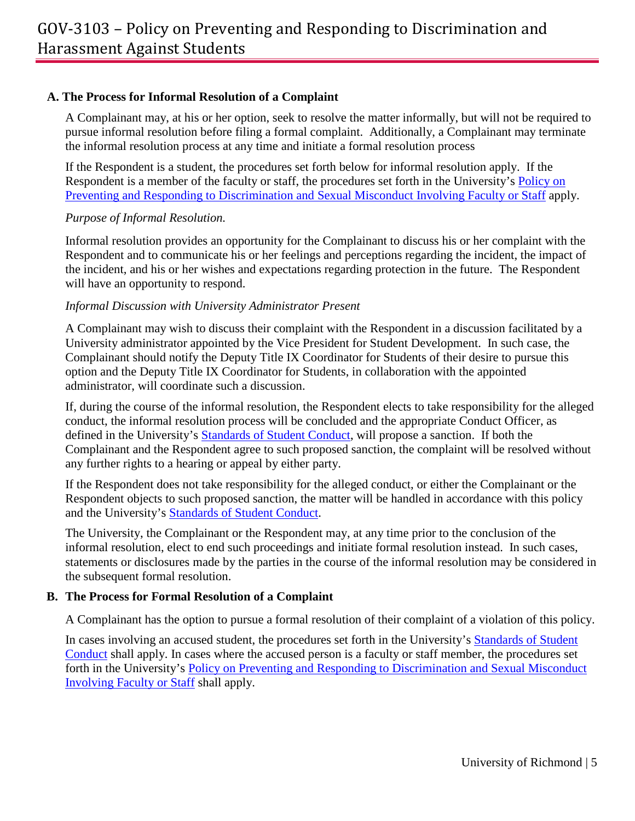## **A. The Process for Informal Resolution of a Complaint**

A Complainant may, at his or her option, seek to resolve the matter informally, but will not be required to pursue informal resolution before filing a formal complaint. Additionally, a Complainant may terminate the informal resolution process at any time and initiate a formal resolution process

If the Respondent is a student, the procedures set forth below for informal resolution apply. If the Respondent is a member of the faculty or staff, the procedures set forth in the University's **Policy on** [Preventing and Responding to Discrimination and Sexual Misconduct Involving Faculty or Staff](https://hr.richmond.edu/policies/workplace-expectations/harassment.html) apply.

### *Purpose of Informal Resolution.*

Informal resolution provides an opportunity for the Complainant to discuss his or her complaint with the Respondent and to communicate his or her feelings and perceptions regarding the incident, the impact of the incident, and his or her wishes and expectations regarding protection in the future. The Respondent will have an opportunity to respond.

### *Informal Discussion with University Administrator Present*

A Complainant may wish to discuss their complaint with the Respondent in a discussion facilitated by a University administrator appointed by the Vice President for Student Development. In such case, the Complainant should notify the Deputy Title IX Coordinator for Students of their desire to pursue this option and the Deputy Title IX Coordinator for Students, in collaboration with the appointed administrator, will coordinate such a discussion.

If, during the course of the informal resolution, the Respondent elects to take responsibility for the alleged conduct, the informal resolution process will be concluded and the appropriate Conduct Officer, as defined in the University's [Standards of Student Conduct,](https://prevent.richmond.edu/_common/standards-of-student-conduct.pdf) will propose a sanction. If both the Complainant and the Respondent agree to such proposed sanction, the complaint will be resolved without any further rights to a hearing or appeal by either party.

If the Respondent does not take responsibility for the alleged conduct, or either the Complainant or the Respondent objects to such proposed sanction, the matter will be handled in accordance with this policy and the University's [Standards of Student Conduct.](http://studentdevelopment.richmond.edu/student-handbook/standards-of-student-conduct.pdf)

The University, the Complainant or the Respondent may, at any time prior to the conclusion of the informal resolution, elect to end such proceedings and initiate formal resolution instead. In such cases, statements or disclosures made by the parties in the course of the informal resolution may be considered in the subsequent formal resolution.

### **B. The Process for Formal Resolution of a Complaint**

A Complainant has the option to pursue a formal resolution of their complaint of a violation of this policy.

In cases involving an accused student, the procedures set forth in the University's [Standards of Student](http://studentdevelopment.richmond.edu/student-handbook/standards-of-student-conduct.pdf)  [Conduct](http://studentdevelopment.richmond.edu/student-handbook/standards-of-student-conduct.pdf) shall apply. In cases where the accused person is a faculty or staff member, the procedures set forth in the University's [Policy on Preventing and Responding to Discrimination and Sexual Misconduct](https://hr.richmond.edu/policies/workplace-expectations/harassment.html)  [Involving Faculty or Staff](https://hr.richmond.edu/policies/workplace-expectations/harassment.html) shall apply.